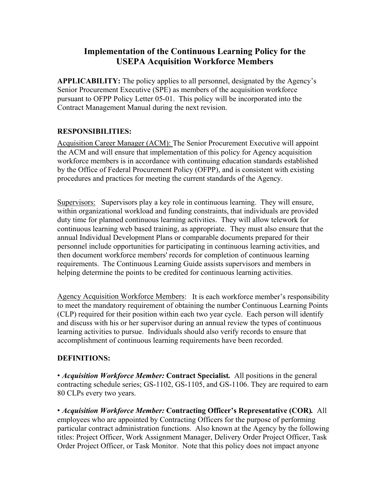# **Implementation of the Continuous Learning Policy for the USEPA Acquisition Workforce Members**

**APPLICABILITY:** The policy applies to all personnel, designated by the Agency's Senior Procurement Executive (SPE) as members of the acquisition workforce pursuant to OFPP Policy Letter 05-01. This policy will be incorporated into the Contract Management Manual during the next revision.

## **RESPONSIBILITIES:**

Acquisition Career Manager (ACM): The Senior Procurement Executive will appoint the ACM and will ensure that implementation of this policy for Agency acquisition workforce members is in accordance with continuing education standards established by the Office of Federal Procurement Policy (OFPP), and is consistent with existing procedures and practices for meeting the current standards of the Agency.

Supervisors: Supervisors play a key role in continuous learning. They will ensure, within organizational workload and funding constraints, that individuals are provided duty time for planned continuous learning activities. They will allow telework for continuous learning web based training, as appropriate. They must also ensure that the annual Individual Development Plans or comparable documents prepared for their personnel include opportunities for participating in continuous learning activities, and then document workforce members' records for completion of continuous learning requirements. The Continuous Learning Guide assists supervisors and members in helping determine the points to be credited for continuous learning activities.

Agency Acquisition Workforce Members: It is each workforce member's responsibility to meet the mandatory requirement of obtaining the number Continuous Learning Points (CLP) required for their position within each two year cycle. Each person will identify and discuss with his or her supervisor during an annual review the types of continuous learning activities to pursue. Individuals should also verify records to ensure that accomplishment of continuous learning requirements have been recorded.

## **DEFINITIONS:**

• *Acquisition Workforce Member:* **Contract Specialist***.* All positions in the general contracting schedule series; GS-1102, GS-1105, and GS-1106. They are required to earn 80 CLPs every two years.

• *Acquisition Workforce Member:* **Contracting Officer's Representative (COR)***.* All employees who are appointed by Contracting Officers for the purpose of performing particular contract administration functions. Also known at the Agency by the following titles: Project Officer, Work Assignment Manager, Delivery Order Project Officer, Task Order Project Officer, or Task Monitor. Note that this policy does not impact anyone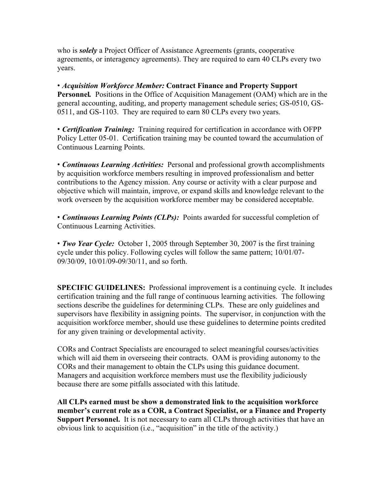who is *solely* a Project Officer of Assistance Agreements (grants, cooperative agreements, or interagency agreements). They are required to earn 40 CLPs every two years.

• *Acquisition Workforce Member:* **Contract Finance and Property Support Personnel***.* Positions in the Office of Acquisition Management (OAM) which are in the general accounting, auditing, and property management schedule series; GS-0510, GS-0511, and GS-1103. They are required to earn 80 CLPs every two years.

• *Certification Training:* Training required for certification in accordance with OFPP Policy Letter 05-01. Certification training may be counted toward the accumulation of Continuous Learning Points.

• *Continuous Learning Activities:* Personal and professional growth accomplishments by acquisition workforce members resulting in improved professionalism and better contributions to the Agency mission. Any course or activity with a clear purpose and objective which will maintain, improve, or expand skills and knowledge relevant to the work overseen by the acquisition workforce member may be considered acceptable.

• *Continuous Learning Points (CLPs):*Points awarded for successful completion of Continuous Learning Activities.

• *Two Year Cycle:* October 1, 2005 through September 30, 2007 is the first training cycle under this policy. Following cycles will follow the same pattern; 10/01/07- 09/30/09, 10/01/09-09/30/11, and so forth.

**SPECIFIC GUIDELINES:** Professional improvement is a continuing cycle. It includes certification training and the full range of continuous learning activities. The following sections describe the guidelines for determining CLPs. These are only guidelines and supervisors have flexibility in assigning points. The supervisor, in conjunction with the acquisition workforce member, should use these guidelines to determine points credited for any given training or developmental activity.

CORs and Contract Specialists are encouraged to select meaningful courses/activities which will aid them in overseeing their contracts. OAM is providing autonomy to the CORs and their management to obtain the CLPs using this guidance document. Managers and acquisition workforce members must use the flexibility judiciously because there are some pitfalls associated with this latitude.

**All CLPs earned must be show a demonstrated link to the acquisition workforce member's current role as a COR, a Contract Specialist, or a Finance and Property Support Personnel.** It is not necessary to earn all CLPs through activities that have an obvious link to acquisition (i.e., "acquisition" in the title of the activity.)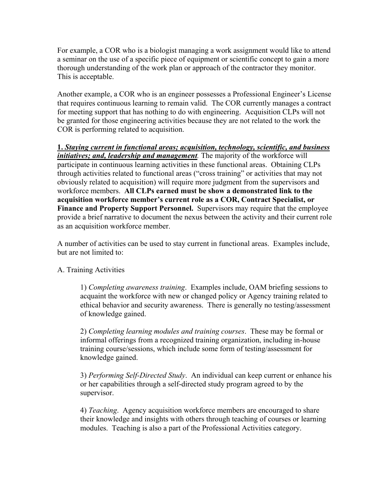For example, a COR who is a biologist managing a work assignment would like to attend a seminar on the use of a specific piece of equipment or scientific concept to gain a more thorough understanding of the work plan or approach of the contractor they monitor. This is acceptable.

Another example, a COR who is an engineer possesses a Professional Engineer's License that requires continuous learning to remain valid. The COR currently manages a contract for meeting support that has nothing to do with engineering. Acquisition CLPs will not be granted for those engineering activities because they are not related to the work the COR is performing related to acquisition.

**1.** *Staying current in functional areas; acquisition, technology, scientific, and business initiatives; and, leadership and management*. The majority of the workforce will participate in continuous learning activities in these functional areas. Obtaining CLPs through activities related to functional areas ("cross training" or activities that may not obviously related to acquisition) will require more judgment from the supervisors and workforce members. **All CLPs earned must be show a demonstrated link to the acquisition workforce member's current role as a COR, Contract Specialist, or Finance and Property Support Personnel.** Supervisors may require that the employee provide a brief narrative to document the nexus between the activity and their current role as an acquisition workforce member.

A number of activities can be used to stay current in functional areas. Examples include, but are not limited to:

## A. Training Activities

1) *Completing awareness training*. Examples include, OAM briefing sessions to acquaint the workforce with new or changed policy or Agency training related to ethical behavior and security awareness. There is generally no testing/assessment of knowledge gained.

2) *Completing learning modules and training courses*. These may be formal or informal offerings from a recognized training organization, including in-house training course/sessions, which include some form of testing/assessment for knowledge gained.

3) *Performing Self-Directed Study*. An individual can keep current or enhance his or her capabilities through a self-directed study program agreed to by the supervisor.

4) *Teaching*. Agency acquisition workforce members are encouraged to share their knowledge and insights with others through teaching of courses or learning modules. Teaching is also a part of the Professional Activities category.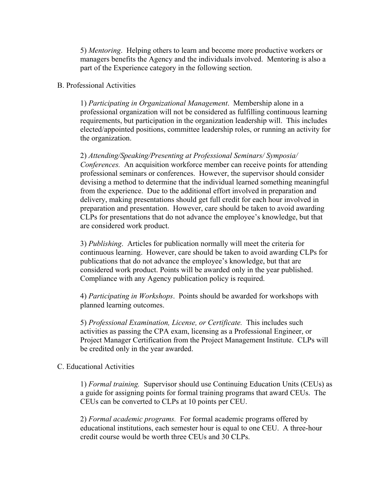5) *Mentoring*. Helping others to learn and become more productive workers or managers benefits the Agency and the individuals involved. Mentoring is also a part of the Experience category in the following section.

### B. Professional Activities

1) *Participating in Organizational Management*. Membership alone in a professional organization will not be considered as fulfilling continuous learning requirements, but participation in the organization leadership will. This includes elected/appointed positions, committee leadership roles, or running an activity for the organization.

2) *Attending/Speaking/Presenting at Professional Seminars/ Symposia/ Conferences.* An acquisition workforce member can receive points for attending professional seminars or conferences. However, the supervisor should consider devising a method to determine that the individual learned something meaningful from the experience. Due to the additional effort involved in preparation and delivery, making presentations should get full credit for each hour involved in preparation and presentation. However, care should be taken to avoid awarding CLPs for presentations that do not advance the employee's knowledge, but that are considered work product.

3) *Publishing*. Articles for publication normally will meet the criteria for continuous learning. However, care should be taken to avoid awarding CLPs for publications that do not advance the employee's knowledge, but that are considered work product. Points will be awarded only in the year published. Compliance with any Agency publication policy is required.

4) *Participating in Workshops*. Points should be awarded for workshops with planned learning outcomes.

5) *Professional Examination, License, or Certificate.* This includes such activities as passing the CPA exam, licensing as a Professional Engineer, or Project Manager Certification from the Project Management Institute. CLPs will be credited only in the year awarded.

### C. Educational Activities

1) *Formal training.* Supervisor should use Continuing Education Units (CEUs) as a guide for assigning points for formal training programs that award CEUs. The CEUs can be converted to CLPs at 10 points per CEU.

2) *Formal academic programs.* For formal academic programs offered by educational institutions, each semester hour is equal to one CEU. A three-hour credit course would be worth three CEUs and 30 CLPs.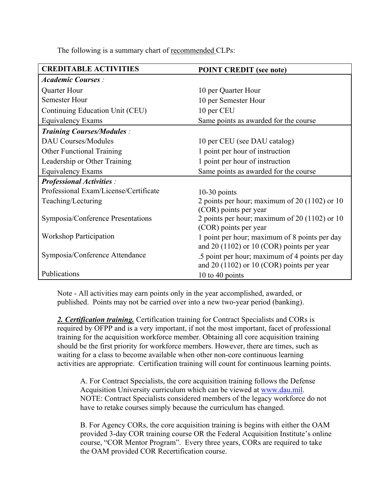The following is a summary chart of recommended CLPs:

| <b>CREDITABLE ACTIVITIES</b>          | <b>POINT CREDIT (see note)</b>                                                                |
|---------------------------------------|-----------------------------------------------------------------------------------------------|
| <b>Academic Courses:</b>              |                                                                                               |
| Quarter Hour                          | 10 per Quarter Hour                                                                           |
| <b>Semester Hour</b>                  | 10 per Semester Hour                                                                          |
| Continuing Education Unit (CEU)       | 10 per CEU                                                                                    |
| Equivalency Exams                     | Same points as awarded for the course                                                         |
| <b>Training Courses/Modules:</b>      |                                                                                               |
| <b>DAU Courses/Modules</b>            | 10 per CEU (see DAU catalog)                                                                  |
| <b>Other Functional Training</b>      | 1 point per hour of instruction                                                               |
| Leadership or Other Training          | 1 point per hour of instruction                                                               |
| <b>Equivalency Exams</b>              | Same points as awarded for the course                                                         |
| <b>Professional Activities:</b>       |                                                                                               |
| Professional Exam/License/Certificate | $10-30$ points                                                                                |
| Teaching/Lecturing                    | 2 points per hour; maximum of 20 $(1102)$ or 10                                               |
|                                       | (COR) points per year                                                                         |
| Symposia/Conference Presentations     | 2 points per hour; maximum of 20 (1102) or 10                                                 |
|                                       | (COR) points per year                                                                         |
| <b>Workshop Participation</b>         | 1 point per hour; maximum of 8 points per day<br>and $20(1102)$ or $10$ (COR) points per year |
| Symposia/Conference Attendance        | .5 point per hour; maximum of 4 points per day                                                |
|                                       | and $20(1102)$ or $10$ (COR) points per year                                                  |
| Publications                          | 10 to 40 points                                                                               |

Note - All activities may earn points only in the year accomplished, awarded, or published. Points may not be carried over into a new two-year period (banking).

*2. Certification training.* Certification training for Contract Specialists and CORs is required by OFPP and is a very important, if not the most important, facet of professional training for the acquisition workforce member. Obtaining all core acquisition training should be the first priority for workforce members. However, there are times, such as waiting for a class to become available when other non-core continuous learning activities are appropriate. Certification training will count for continuous learning points.

A. For Contract Specialists, the core acquisition training follows the Defense Acquisition University curriculum which can be viewed at www.dau.mil. NOTE: Contract Specialists considered members of the legacy workforce do not have to retake courses simply because the curriculum has changed.

B. For Agency CORs, the core acquisition training is begins with either the OAM provided 3-day COR training course OR the Federal Acquisition Institute's online course, "COR Mentor Program". Every three years, CORs are required to take the OAM provided COR Recertification course.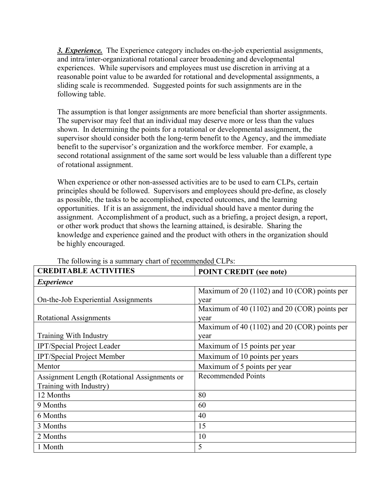*3. Experience.* The Experience category includes on-the-job experiential assignments, and intra/inter-organizational rotational career broadening and developmental experiences. While supervisors and employees must use discretion in arriving at a reasonable point value to be awarded for rotational and developmental assignments, a sliding scale is recommended. Suggested points for such assignments are in the following table.

The assumption is that longer assignments are more beneficial than shorter assignments. The supervisor may feel that an individual may deserve more or less than the values shown. In determining the points for a rotational or developmental assignment, the supervisor should consider both the long-term benefit to the Agency, and the immediate benefit to the supervisor's organization and the workforce member. For example, a second rotational assignment of the same sort would be less valuable than a different type of rotational assignment.

When experience or other non-assessed activities are to be used to earn CLPs, certain principles should be followed. Supervisors and employees should pre-define, as closely as possible, the tasks to be accomplished, expected outcomes, and the learning opportunities. If it is an assignment, the individual should have a mentor during the assignment. Accomplishment of a product, such as a briefing, a project design, a report, or other work product that shows the learning attained, is desirable. Sharing the knowledge and experience gained and the product with others in the organization should be highly encouraged.

| <b>CREDITABLE ACTIVITIES</b>                 | <b>POINT CREDIT (see note)</b>                   |
|----------------------------------------------|--------------------------------------------------|
| <i>Experience</i>                            |                                                  |
|                                              | Maximum of 20 $(1102)$ and 10 $(COR)$ points per |
| On-the-Job Experiential Assignments          | year                                             |
|                                              | Maximum of 40 (1102) and 20 (COR) points per     |
| <b>Rotational Assignments</b>                | year                                             |
|                                              | Maximum of 40 (1102) and 20 (COR) points per     |
| Training With Industry                       | year                                             |
| IPT/Special Project Leader                   | Maximum of 15 points per year                    |
| <b>IPT/Special Project Member</b>            | Maximum of 10 points per years                   |
| Mentor                                       | Maximum of 5 points per year                     |
| Assignment Length (Rotational Assignments or | <b>Recommended Points</b>                        |
| Training with Industry)                      |                                                  |
| 12 Months                                    | 80                                               |
| 9 Months                                     | 60                                               |
| 6 Months                                     | 40                                               |
| 3 Months                                     | 15                                               |
| 2 Months                                     | 10                                               |
| 1 Month                                      | 5                                                |

### The following is a summary chart of recommended CLPs: